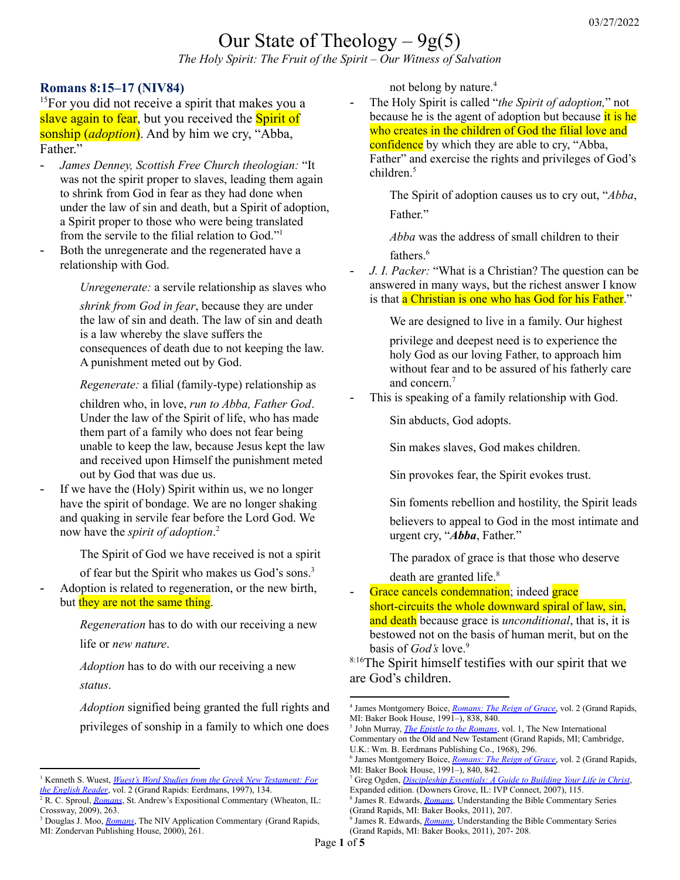# Our State of Theology  $-9g(5)$

*The Holy Spirit: The Fruit of the Spirit – Our Witness of Salvation*

#### **Romans 8:15–17 (NIV84)**

<sup>15</sup>For you did not receive a spirit that makes you a slave again to fear, but you received the **Spirit of** sonship (*adoption*). And by him we cry, "Abba, Father"

- *James Denney, Scottish Free Church theologian:* "It was not the spirit proper to slaves, leading them again to shrink from God in fear as they had done when under the law of sin and death, but a Spirit of adoption, a Spirit proper to those who were being translated from the servile to the filial relation to God."<sup>1</sup>
- Both the unregenerate and the regenerated have a relationship with God.

*Unregenerate:* a servile relationship as slaves who

*shrink from God in fear*, because they are under the law of sin and death. The law of sin and death is a law whereby the slave suffers the consequences of death due to not keeping the law. A punishment meted out by God.

*Regenerate:* a filial (family-type) relationship as

children who, in love, *run to Abba, Father God*. Under the law of the Spirit of life, who has made them part of a family who does not fear being unable to keep the law, because Jesus kept the law and received upon Himself the punishment meted out by God that was due us.

If we have the (Holy) Spirit within us, we no longer have the spirit of bondage. We are no longer shaking and quaking in servile fear before the Lord God. We now have the *spirit of adoption*. 2

The Spirit of God we have received is not a spirit

of fear but the Spirit who makes us God's sons. 3

Adoption is related to regeneration, or the new birth, but they are not the same thing.

> *Regeneration* has to do with our receiving a new life or *new nature*.

*Adoption* has to do with our receiving a new *status*.

*Adoption* signified being granted the full rights and privileges of sonship in a family to which one does

not belong by nature. 4

- The Holy Spirit is called "*the Spirit of adoption,*" not because he is the agent of adoption but because it is he who creates in the children of God the filial love and confidence by which they are able to cry, "Abba, Father" and exercise the rights and privileges of God's children. 5

The Spirit of adoption causes us to cry out, "*Abba*, Father."

*Abba* was the address of small children to their fathers. 6

- *J. I. Packer:* "What is a Christian? The question can be answered in many ways, but the richest answer I know is that a Christian is one who has God for his Father."

We are designed to live in a family. Our highest

privilege and deepest need is to experience the holy God as our loving Father, to approach him without fear and to be assured of his fatherly care and concern. 7

This is speaking of a family relationship with God.

Sin abducts, God adopts.

Sin makes slaves, God makes children.

Sin provokes fear, the Spirit evokes trust.

Sin foments rebellion and hostility, the Spirit leads believers to appeal to God in the most intimate and urgent cry, "*Abba*, Father."

The paradox of grace is that those who deserve death are granted life. 8

Grace cancels condemnation; indeed grace short-circuits the whole downward spiral of law, sin, and death because grace is *unconditional*, that is, it is bestowed not on the basis of human merit, but on the basis of *God's* love. 9

8:16The Spirit himself testifies with our spirit that we are God's children.

<sup>7</sup> Greg Ogden, *[Discipleship](https://ref.ly/logosres/dscplshpssntls?ref=Page.p+115&off=724&ctx=re+God%E2%80%99s+children.%E2%80%9D%0a~J.+I.+Packer+puts+it) Essentials: A Guide to Building Your Life in Christ*, Expanded edition. (Downers Grove, IL: IVP Connect, 2007), 115.

<sup>1</sup> Kenneth S. Wuest, *Wuest's Word Studies from the Greek New [Testament:](https://ref.ly/logosres/wuest?ref=Bible.Ro8.14&off=476&ctx=+man+is+wonderful.%E2%80%9D%0a~Denney+explains%3b+%E2%80%9CIt) For the [English](https://ref.ly/logosres/wuest?ref=Bible.Ro8.14&off=476&ctx=+man+is+wonderful.%E2%80%9D%0a~Denney+explains%3b+%E2%80%9CIt) Reader*, vol. 2 (Grand Rapids: Eerdmans, 1997), 134.

<sup>&</sup>lt;sup>2</sup> R. C. Sproul, *[Romans](https://ref.ly/logosres/sproulromans?ref=Bible.Ro8.15&off=458&ctx=nt+hearts.+However%2c+~if+we+have+the+Spiri)*, St. Andrew's Expositional Commentary (Wheaton, IL: Crossway, 2009), 263.

<sup>&</sup>lt;sup>3</sup> Douglas J. Moo, *[Romans](https://ref.ly/logosres/nivac66ro?ref=Bible.Ro8.14-17&off=2811&ctx=ng%2c+in+effect%2c+that+~the+Spirit+of+God+we)*, The NIV Application Commentary (Grand Rapids, MI: Zondervan Publishing House, 2000), 261.

<sup>4</sup> James Montgomery Boice, *[Romans:](https://ref.ly/logosres/boicecm66bro?ref=Bible.Ro8.15-16&off=7594&ctx=+to+him+because+%E2%80%9Cit+~signified+being+gran) The Reign of Grace*, vol. 2 (Grand Rapids, MI: Baker Book House, 1991–), 838, 840.

<sup>5</sup> John Murray, *The Epistle to the [Romans](https://ref.ly/logosres/nicnt66ro2?ref=Bible.Ro8.15&off=1669&ctx=+the+Holy+Spirit.17+~He+is+called+%E2%80%9Cthe+Sp)*, vol. 1, The New International Commentary on the Old and New Testament (Grand Rapids, MI; Cambridge, U.K.: Wm. B. Eerdmans Publishing Co., 1968), 296.

<sup>6</sup> James Montgomery Boice, *[Romans:](https://ref.ly/logosres/boicecm66bro?ref=Bible.Ro8.15-16&off=14360&ctx=usly+testified+that+~abba+was+the+address) The Reign of Grace*, vol. 2 (Grand Rapids, MI: Baker Book House, 1991–), 840, 842.

<sup>8</sup> James R. Edwards, *[Romans](https://ref.ly/logosres/nibcnt66ro?ref=Bible.Ro8.14-17&off=200&ctx=eritance+in+Christ.+~The+imagery+is+that+)*, Understanding the Bible Commentary Series (Grand Rapids, MI: Baker Books, 2011), 207.

<sup>9</sup> James R. Edwards, *[Romans](https://ref.ly/logosres/nibcnt66ro?ref=Bible.Ro8.14-17&off=855&ctx=lves+condemned.+But+~grace+cancels+condem)*, Understanding the Bible Commentary Series (Grand Rapids, MI: Baker Books, 2011), 207- 208.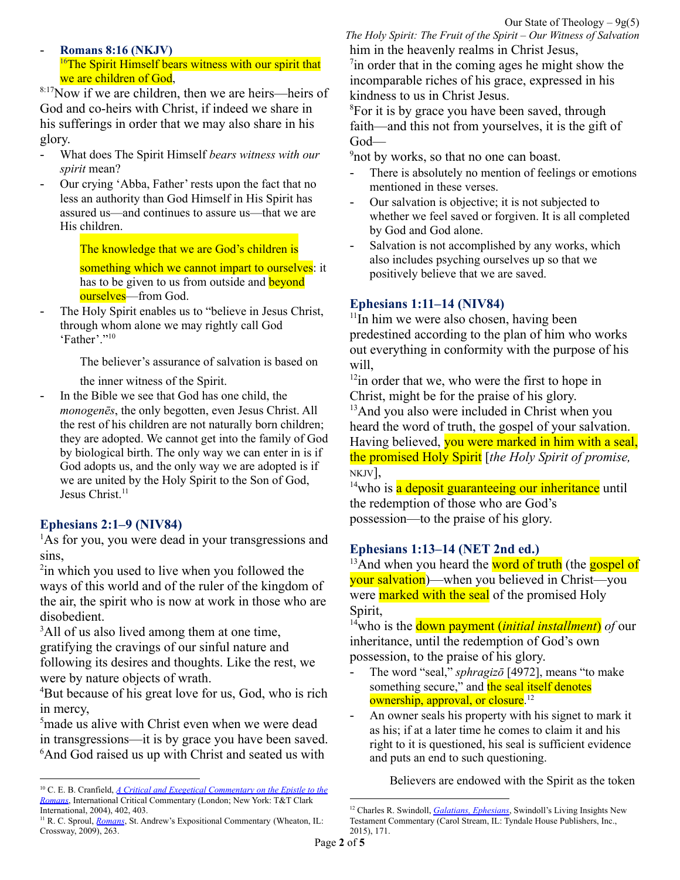### - **Romans 8:16 (NKJV)** <sup>16</sup>The Spirit Himself bears witness with our spirit that we are children of God,

8:17Now if we are children, then we are heirs—heirs of God and co-heirs with Christ, if indeed we share in his sufferings in order that we may also share in his glory.

- What does The Spirit Himself *bears witness with our spirit* mean?
- Our crying 'Abba, Father' rests upon the fact that no less an authority than God Himself in His Spirit has assured us—and continues to assure us—that we are His children.

The knowledge that we are God's children is

something which we cannot impart to ourselves: it has to be given to us from outside and **beyond** ourselves—from God.

The Holy Spirit enables us to "believe in Jesus Christ, through whom alone we may rightly call God 'Father'." 10

The believer's assurance of salvation is based on

the inner witness of the Spirit.

In the Bible we see that God has one child, the *monogenēs*, the only begotten, even Jesus Christ. All the rest of his children are not naturally born children; they are adopted. We cannot get into the family of God by biological birth. The only way we can enter in is if God adopts us, and the only way we are adopted is if we are united by the Holy Spirit to the Son of God, Jesus Christ. 11

# **Ephesians 2:1–9 (NIV84)**

<sup>1</sup>As for you, you were dead in your transgressions and sins,

<sup>2</sup>in which you used to live when you followed the ways of this world and of the ruler of the kingdom of the air, the spirit who is now at work in those who are disobedient.

<sup>3</sup>All of us also lived among them at one time, gratifying the cravings of our sinful nature and following its desires and thoughts. Like the rest, we were by nature objects of wrath.

<sup>4</sup>But because of his great love for us, God, who is rich in mercy,

<sup>5</sup>made us alive with Christ even when we were dead in transgressions—it is by grace you have been saved. <sup>6</sup>And God raised us up with Christ and seated us with

*The Holy Spirit: The Fruit of the Spirit – Our Witness of Salvation* him in the heavenly realms in Christ Jesus,

<sup>7</sup>in order that in the coming ages he might show the incomparable riches of his grace, expressed in his kindness to us in Christ Jesus.

<sup>8</sup>For it is by grace you have been saved, through faith—and this not from yourselves, it is the gift of God—

<sup>9</sup>not by works, so that no one can boast.

- There is absolutely no mention of feelings or emotions mentioned in these verses.
- Our salvation is objective; it is not subjected to whether we feel saved or forgiven. It is all completed by God and God alone.
- Salvation is not accomplished by any works, which also includes psyching ourselves up so that we positively believe that we are saved.

## **Ephesians 1:11–14 (NIV84)**

<sup>11</sup>In him we were also chosen, having been predestined according to the plan of him who works out everything in conformity with the purpose of his will,

 $12$ in order that we, who were the first to hope in Christ, might be for the praise of his glory.

<sup>13</sup>And you also were included in Christ when you heard the word of truth, the gospel of your salvation. Having believed, you were marked in him with a seal, the promised Holy Spirit [*the Holy Spirit of promise,* NKJV],

<sup>14</sup>who is a deposit guaranteeing our inheritance until the redemption of those who are God's possession—to the praise of his glory.

# **Ephesians 1:13–14 (NET 2nd ed.)**

 $13$ And when you heard the word of truth (the gospel of your salvation)—when you believed in Christ—you were marked with the seal of the promised Holy Spirit,

<sup>14</sup>who is the down payment (*initial installment*) *of* our inheritance, until the redemption of God's own possession, to the praise of his glory.

- The word "seal," *sphragizo* [4972], means "to make something secure," and the seal itself denotes ownership, approval, or closure.<sup>12</sup>
- An owner seals his property with his signet to mark it as his; if at a later time he comes to claim it and his right to it is questioned, his seal is sufficient evidence and puts an end to such questioning.

Believers are endowed with the Spirit as the token

<sup>10</sup> C. E. B. Cranfield, *A Critical and Exegetical [Commentary](https://ref.ly/logosres/icc-ro1?ref=Bible.Ro8.16&off=2167&ctx=k+of+enabling+us+to+~believe+in+Jesus+Chr) on the Epistle to the [Romans](https://ref.ly/logosres/icc-ro1?ref=Bible.Ro8.16&off=2167&ctx=k+of+enabling+us+to+~believe+in+Jesus+Chr)*, International Critical Commentary (London; New York: T&T Clark International, 2004), 402, 403.

<sup>&</sup>lt;sup>11</sup> R. C. Sproul, *[Romans](https://ref.ly/logosres/sproulromans?ref=Bible.Ro8.15&off=1088&ctx=view+as+we+can+get.+~In+the+Bible+we+see+)*, St. Andrew's Expositional Commentary (Wheaton, IL: Crossway, 2009), 263.

<sup>12</sup> Charles R. Swindoll, *[Galatians,](https://ref.ly/logosres/ws-6816607fef304658a3b3ca783b67c632?ref=Bible.Eph1.13-14&off=372&ctx=y+and+irreversibly.+~The+word+%E2%80%9Cseal%2c%E2%80%9D+sph) Ephesians*, Swindoll's Living Insights New Testament Commentary (Carol Stream, IL: Tyndale House Publishers, Inc., 2015), 171.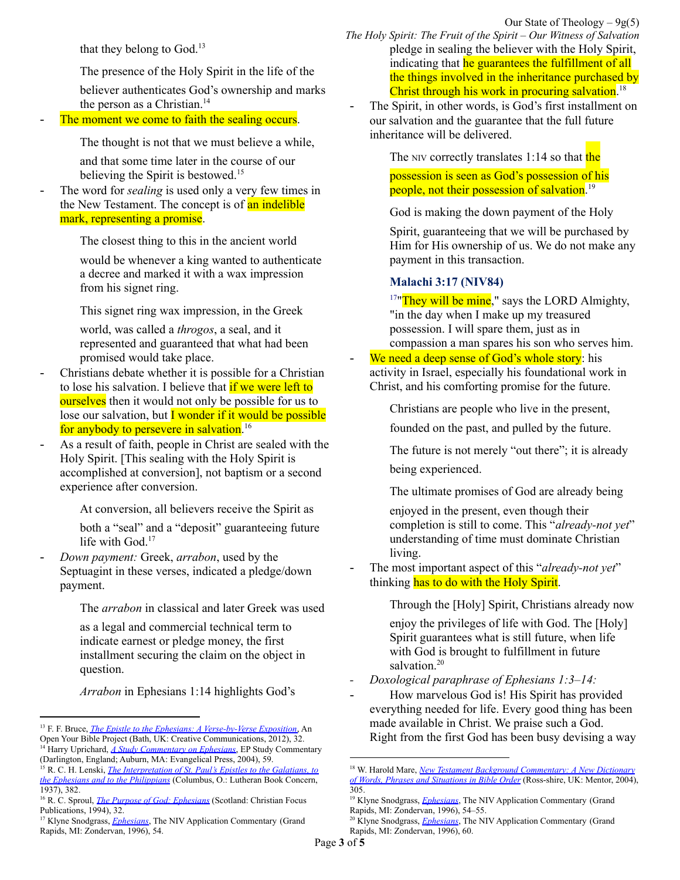that they belong to God. 13

The presence of the Holy Spirit in the life of the

believer authenticates God's ownership and marks the person as a Christian. 14

The moment we come to faith the sealing occurs.

The thought is not that we must believe a while,

and that some time later in the course of our believing the Spirit is bestowed. 15

The word for *sealing* is used only a very few times in the New Testament. The concept is of **an indelible** mark, representing a promise.

The closest thing to this in the ancient world

would be whenever a king wanted to authenticate a decree and marked it with a wax impression from his signet ring.

This signet ring wax impression, in the Greek

world, was called a *throgos*, a seal, and it represented and guaranteed that what had been promised would take place.

- Christians debate whether it is possible for a Christian to lose his salvation. I believe that if we were left to **ourselves** then it would not only be possible for us to lose our salvation, but  $\overline{I}$  wonder if it would be possible for anybody to persevere in salvation.<sup>16</sup>
- As a result of faith, people in Christ are sealed with the Holy Spirit. [This sealing with the Holy Spirit is accomplished at conversion], not baptism or a second experience after conversion.

At conversion, all believers receive the Spirit as

both a "seal" and a "deposit" guaranteeing future life with God.<sup>17</sup>

- *Down payment:* Greek, *arrabon*, used by the Septuagint in these verses, indicated a pledge/down payment.

The *arrabon* in classical and later Greek was used

as a legal and commercial technical term to indicate earnest or pledge money, the first installment securing the claim on the object in question.

*Arrabon* in Ephesians 1:14 highlights God's

Our State of Theology  $-9g(5)$ *The Holy Spirit: The Fruit of the Spirit – Our Witness of Salvation* pledge in sealing the believer with the Holy Spirit, indicating that he guarantees the fulfillment of all the things involved in the inheritance purchased by Christ through his work in procuring salvation.<sup>18</sup>

The Spirit, in other words, is God's first installment on our salvation and the guarantee that the full future inheritance will be delivered.

The NIV correctly translates  $1:14$  so that the

possession is seen as God's possession of his people, not their possession of salvation. 19

God is making the down payment of the Holy

Spirit, guaranteeing that we will be purchased by Him for His ownership of us. We do not make any payment in this transaction.

#### **Malachi 3:17 (NIV84)**

 $17"$ They will be mine," says the LORD Almighty, "in the day when I make up my treasured possession. I will spare them, just as in compassion a man spares his son who serves him.

We need a deep sense of God's whole story: his activity in Israel, especially his foundational work in Christ, and his comforting promise for the future.

Christians are people who live in the present,

founded on the past, and pulled by the future.

The future is not merely "out there"; it is already

being experienced.

The ultimate promises of God are already being

enjoyed in the present, even though their completion is still to come. This "*already-not yet*" understanding of time must dominate Christian living.

The most important aspect of this "*already-not yet*" thinking has to do with the Holy Spirit.

Through the [Holy] Spirit, Christians already now

enjoy the privileges of life with God. The [Holy] Spirit guarantees what is still future, when life with God is brought to fulfillment in future salvation. 20

*- Doxological paraphrase of Ephesians 1:3–14:*

- How marvelous God is! His Spirit has provided everything needed for life. Every good thing has been made available in Christ. We praise such a God. Right from the first God has been busy devising a way

<sup>14</sup> Harry Uprichard, *A Study [Commentary](https://ref.ly/logosres/evpress70eph?ref=Bible.Eph1.13&off=1032&ctx=Paul+is+saying+that+~the+presence+of+the+) on Ephesians*, EP Study Commentary <sup>13</sup> F. F. Bruce, *The Epistle to the Ephesians: A [Verse-by-Verse](https://ref.ly/logosres/pstlphsnsvrsbxp?ref=Bible.Eph1.13&off=2468&ctx=.+So%2c+the+fact+that+~believers+are+endowe) Exposition*, An Open Your Bible Project (Bath, UK: Creative Communications, 2012), 32.

<sup>15</sup> R. C. H. Lenski, *The [Interpretation](https://ref.ly/logosres/lenski08?ref=Bible.Eph1.13&off=2494&ctx=+ingressive+aorist.+~The+moment+we+come+t) of St. Paul's Epistles to the Galatians, to* (Darlington, England; Auburn, MA: Evangelical Press, 2004), 59.

*the Ephesians and to the [Philippians](https://ref.ly/logosres/lenski08?ref=Bible.Eph1.13&off=2494&ctx=+ingressive+aorist.+~The+moment+we+come+t)* (Columbus, O.: Lutheran Book Concern, 1937), 382.

<sup>16</sup> R. C. Sproul, *The Purpose of God: [Ephesians](https://ref.ly/logosres/purposegod?ref=Bible.Eph1.13-14&off=1444&ctx=of+our+inheritance.%0a~The+word+for+sealing)* (Scotland: Christian Focus Publications, 1994), 32.

<sup>&</sup>lt;sup>17</sup> Klyne Snodgrass, *[Ephesians](https://ref.ly/logosres/nivac70eph?ref=Bible.Eph1.13-14&off=374&ctx=r+explanation+here.+~As+a+result+of+faith)*, The NIV Application Commentary (Grand Rapids, MI: Zondervan, 1996), 54.

<sup>18</sup> W. Harold Mare, *New Testament Background [Commentary:](https://ref.ly/logosres/ntbckgrcom?ref=Bible.Eph1.14&off=15&ctx=0).4%0a1%3a14.+deposit.+~Greek%2c+arrabon%2c+a+Se) A New Dictionary of Words, Phrases and [Situations](https://ref.ly/logosres/ntbckgrcom?ref=Bible.Eph1.14&off=15&ctx=0).4%0a1%3a14.+deposit.+~Greek%2c+arrabon%2c+a+Se) in Bible Order* (Ross-shire, UK: Mentor, 2004), 305.

<sup>&</sup>lt;sup>19</sup> Klyne Snodgrass, *[Ephesians](https://ref.ly/logosres/nivac70eph?ref=Bible.Eph1.13-14&off=1394&ctx=%3b+cf.+Rom.+8%3a23).30+~The+Spirit%2c+in+other)*, The NIV Application Commentary (Grand Rapids, MI: Zondervan, 1996), 54–55.

<sup>&</sup>lt;sup>20</sup> Klyne Snodgrass, *[Ephesians](https://ref.ly/logosres/nivac70eph?ref=Bible.Eph1.3-14&off=44034&ctx=this+is+heightened.+~We+need+a+deep+sense)*, The NIV Application Commentary (Grand Rapids, MI: Zondervan, 1996), 60.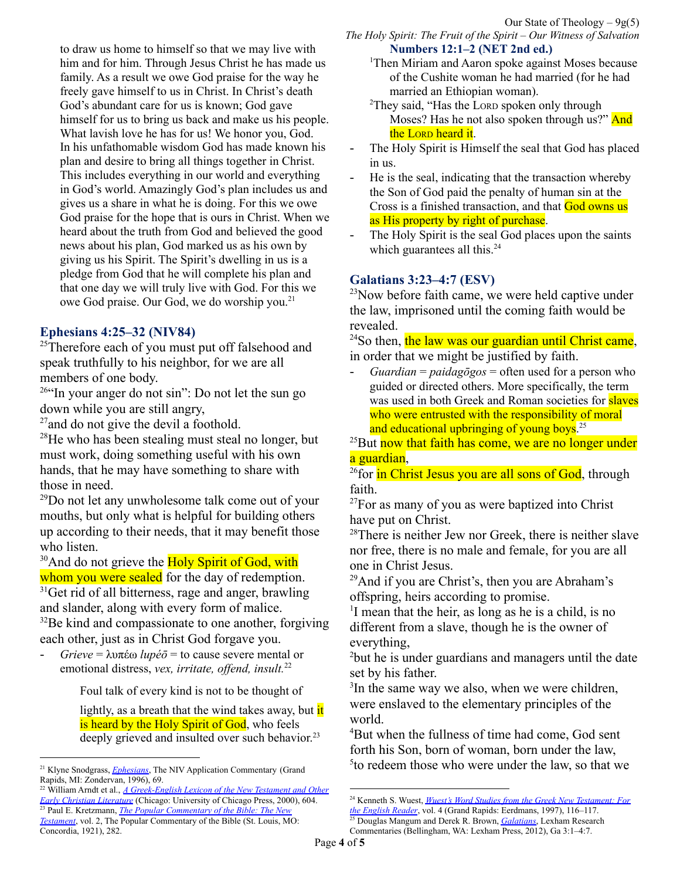to draw us home to himself so that we may live with him and for him. Through Jesus Christ he has made us family. As a result we owe God praise for the way he freely gave himself to us in Christ. In Christ's death God's abundant care for us is known; God gave himself for us to bring us back and make us his people. What lavish love he has for us! We honor you, God. In his unfathomable wisdom God has made known his plan and desire to bring all things together in Christ. This includes everything in our world and everything in God's world. Amazingly God's plan includes us and gives us a share in what he is doing. For this we owe God praise for the hope that is ours in Christ. When we heard about the truth from God and believed the good news about his plan, God marked us as his own by giving us his Spirit. The Spirit's dwelling in us is a pledge from God that he will complete his plan and that one day we will truly live with God. For this we owe God praise. Our God, we do worship you. 21

#### **Ephesians 4:25–32 (NIV84)**

<sup>25</sup>Therefore each of you must put off falsehood and speak truthfully to his neighbor, for we are all members of one body.

<sup>26</sup>"In your anger do not sin": Do not let the sun go down while you are still angry,

<sup>27</sup> and do not give the devil a foothold.

 $^{28}$ He who has been stealing must steal no longer, but must work, doing something useful with his own hands, that he may have something to share with those in need.

<sup>29</sup>Do not let any unwholesome talk come out of your mouths, but only what is helpful for building others up according to their needs, that it may benefit those who listen.

<sup>30</sup>And do not grieve the **Holy Spirit of God**, with

whom you were sealed for the day of redemption. <sup>31</sup>Get rid of all bitterness, rage and anger, brawling and slander, along with every form of malice.

<sup>32</sup>Be kind and compassionate to one another, forgiving each other, just as in Christ God forgave you.

- *Grieve* = λυπέω *lupéō* = to cause severe mental or emotional distress, *vex, irritate, offend, insult.*<sup>22</sup>

Foul talk of every kind is not to be thought of

lightly, as a breath that the wind takes away, but  $\frac{d}{dt}$ is heard by the Holy Spirit of God, who feels deeply grieved and insulted over such behavior.<sup>23</sup>

<sup>23</sup> Paul E. Kretzmann, *The Popular [Commentary](https://ref.ly/logosres/pplcmmbblnt?ref=Bible.Eph4.29-32&off=1884&ctx=+to+drive+Him+away.+~Foul+talk+of+every+k) of the Bible: The New [Testament](https://ref.ly/logosres/pplcmmbblnt?ref=Bible.Eph4.29-32&off=1884&ctx=+to+drive+Him+away.+~Foul+talk+of+every+k)*, vol. 2, The Popular Commentary of the Bible (St. Louis, MO: Concordia, 1921), 282. <sup>22</sup> William Arndt et al., *A [Greek-English](https://ref.ly/logosres/bdag?ref=Page.p+604&off=4109&ctx=.+%E2%80%98grieve%2c+pain%E2%80%99.%0a%E2%91%A0+~to+cause+severe+ment) Lexicon of the New Testament and Other Early Christian [Literature](https://ref.ly/logosres/bdag?ref=Page.p+604&off=4109&ctx=.+%E2%80%98grieve%2c+pain%E2%80%99.%0a%E2%91%A0+~to+cause+severe+ment)* (Chicago: University of Chicago Press, 2000), 604.

*The Holy Spirit: The Fruit of the Spirit – Our Witness of Salvation* **Numbers 12:1–2 (NET 2nd ed.)**

- <sup>1</sup>Then Miriam and Aaron spoke against Moses because of the Cushite woman he had married (for he had married an Ethiopian woman).
- <sup>2</sup>They said, "Has the LORD spoken only through Moses? Has he not also spoken through us?" And the Lorp heard it.
- The Holy Spirit is Himself the seal that God has placed in us.
- He is the seal, indicating that the transaction whereby the Son of God paid the penalty of human sin at the Cross is a finished transaction, and that God owns us as His property by right of purchase.
- The Holy Spirit is the seal God places upon the saints which guarantees all this.<sup>24</sup>

# **Galatians 3:23–4:7 (ESV)**

<sup>23</sup>Now before faith came, we were held captive under the law, imprisoned until the coming faith would be revealed.

 $24$ So then, the law was our guardian until Christ came, in order that we might be justified by faith.

- *Guardian* = *paidagōgos* = often used for a person who guided or directed others. More specifically, the term was used in both Greek and Roman societies for **slaves** who were entrusted with the responsibility of moral and educational upbringing of young boys.<sup>25</sup>

 $^{25}$ But now that faith has come, we are no longer under a guardian,

<sup>26</sup>for in Christ Jesus you are all sons of God, through faith.

 $27$ For as many of you as were baptized into Christ have put on Christ.

<sup>28</sup>There is neither Jew nor Greek, there is neither slave nor free, there is no male and female, for you are all one in Christ Jesus.

<sup>29</sup>And if you are Christ's, then you are Abraham's offspring, heirs according to promise.

<sup>1</sup>I mean that the heir, as long as he is a child, is no different from a slave, though he is the owner of everything,

<sup>2</sup>but he is under guardians and managers until the date set by his father.

<sup>3</sup>In the same way we also, when we were children, were enslaved to the elementary principles of the world.

<sup>4</sup>But when the fullness of time had come, God sent forth his Son, born of woman, born under the law, 5 to redeem those who were under the law, so that we

<sup>21</sup> Klyne Snodgrass, *[Ephesians](https://ref.ly/logosres/nivac70eph?ref=Bible.Eph1.3-14&off=67337&ctx=ve.%0aWe+close+with+a+~doxological+paraphra)*, The NIV Application Commentary (Grand Rapids, MI: Zondervan, 1996), 69.

<sup>24</sup> Kenneth S. Wuest, *Wuest's Word Studies from the Greek New [Testament:](https://ref.ly/logosres/wuest?ref=Bible.Eph4.30&off=1461&ctx=iterally+%E2%80%9Cin+whom.%E2%80%9D+~The+Holy+Spirit+is+H) For*

<sup>25</sup> Douglas Mangum and Derek R. Brown, *[Galatians](https://ref.ly/logosres/lbg69ga?ref=Bible.Ga3.1-4.7&off=26513&ctx=The+term+itself+was+~often+used+for+a+per)*, Lexham Research *the [English](https://ref.ly/logosres/wuest?ref=Bible.Eph4.30&off=1461&ctx=iterally+%E2%80%9Cin+whom.%E2%80%9D+~The+Holy+Spirit+is+H) Reader*, vol. 4 (Grand Rapids: Eerdmans, 1997), 116–117.

Commentaries (Bellingham, WA: Lexham Press, 2012), Ga 3:1–4:7.